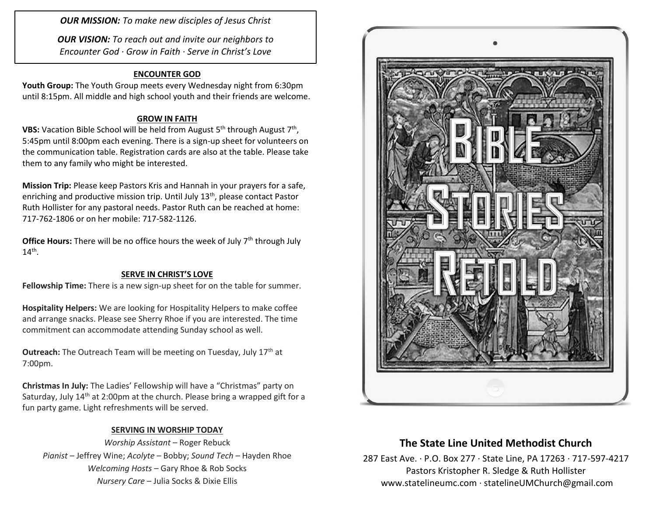*OUR MISSION: To make new disciples of Jesus Christ*

*OUR VISION: To reach out and invite our neighbors to Encounter God · Grow in Faith · Serve in Christ's Love*

### **ENCOUNTER GOD**

**Youth Group:** The Youth Group meets every Wednesday night from 6:30pm until 8:15pm. All middle and high school youth and their friends are welcome.

### **GROW IN FAITH**

**VBS:** Vacation Bible School will be held from August 5<sup>th</sup> through August 7<sup>th</sup>, 5:45pm until 8:00pm each evening. There is a sign-up sheet for volunteers on the communication table. Registration cards are also at the table. Please take them to any family who might be interested.

**Mission Trip:** Please keep Pastors Kris and Hannah in your prayers for a safe, enriching and productive mission trip. Until July 13<sup>th</sup>, please contact Pastor Ruth Hollister for any pastoral needs. Pastor Ruth can be reached at home: 717-762-1806 or on her mobile: 717-582-1126.

**Office Hours:** There will be no office hours the week of July 7<sup>th</sup> through July  $14<sup>th</sup>$ .

#### **SERVE IN CHRIST'S LOVE**

**Fellowship Time:** There is a new sign-up sheet for on the table for summer.

**Hospitality Helpers:** We are looking for Hospitality Helpers to make coffee and arrange snacks. Please see Sherry Rhoe if you are interested. The time commitment can accommodate attending Sunday school as well.

**Outreach:** The Outreach Team will be meeting on Tuesday, July 17<sup>th</sup> at 7:00pm.

**Christmas In July:** The Ladies' Fellowship will have a "Christmas" party on Saturday, July 14<sup>th</sup> at 2:00pm at the church. Please bring a wrapped gift for a fun party game. Light refreshments will be served.

### **SERVING IN WORSHIP TODAY**

*Worship Assistant* – Roger Rebuck *Pianist* – Jeffrey Wine; *Acolyte* – Bobby; *Sound Tech* – Hayden Rhoe *Welcoming Hosts* – Gary Rhoe & Rob Socks *Nursery Care* – Julia Socks & Dixie Ellis



# **The State Line United Methodist Church**

287 East Ave. · P.O. Box 277 · State Line, PA 17263 · 717-597-4217 Pastors Kristopher R. Sledge & Ruth Hollister [www.statelineumc.com](http://www.statelineumc.com/) · statelineUMChurch@gmail.com